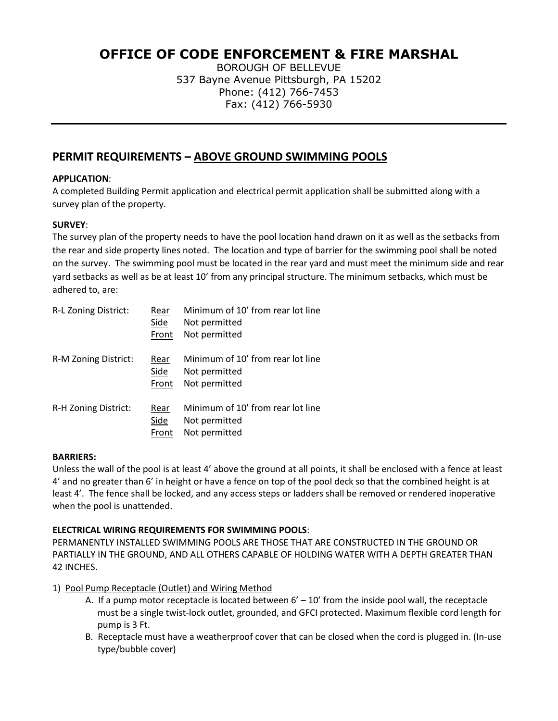# **OFFICE OF CODE ENFORCEMENT & FIRE MARSHAL**

BOROUGH OF BELLEVUE 537 Bayne Avenue Pittsburgh, PA 15202 Phone: (412) 766-7453 Fax: (412) 766-5930

## **PERMIT REQUIREMENTS – ABOVE GROUND SWIMMING POOLS**

#### **APPLICATION**:

A completed Building Permit application and electrical permit application shall be submitted along with a survey plan of the property.

### **SURVEY**:

The survey plan of the property needs to have the pool location hand drawn on it as well as the setbacks from the rear and side property lines noted. The location and type of barrier for the swimming pool shall be noted on the survey. The swimming pool must be located in the rear yard and must meet the minimum side and rear yard setbacks as well as be at least 10' from any principal structure. The minimum setbacks, which must be adhered to, are:

| R-L Zoning District: | Rear<br>Side<br>Front | Minimum of 10' from rear lot line<br>Not permitted<br>Not permitted |
|----------------------|-----------------------|---------------------------------------------------------------------|
| R-M Zoning District: | Rear<br>Side<br>Front | Minimum of 10' from rear lot line<br>Not permitted<br>Not permitted |
| R-H Zoning District: | Rear<br>Side<br>Front | Minimum of 10' from rear lot line<br>Not permitted<br>Not permitted |

#### **BARRIERS:**

Unless the wall of the pool is at least 4' above the ground at all points, it shall be enclosed with a fence at least 4' and no greater than 6' in height or have a fence on top of the pool deck so that the combined height is at least 4'. The fence shall be locked, and any access steps or ladders shall be removed or rendered inoperative when the pool is unattended.

#### **ELECTRICAL WIRING REQUIREMENTS FOR SWIMMING POOLS**:

PERMANENTLY INSTALLED SWIMMING POOLS ARE THOSE THAT ARE CONSTRUCTED IN THE GROUND OR PARTIALLY IN THE GROUND, AND ALL OTHERS CAPABLE OF HOLDING WATER WITH A DEPTH GREATER THAN 42 INCHES.

- 1) Pool Pump Receptacle (Outlet) and Wiring Method
	- A. If a pump motor receptacle is located between  $6' 10'$  from the inside pool wall, the receptacle must be a single twist-lock outlet, grounded, and GFCI protected. Maximum flexible cord length for pump is 3 Ft.
	- B. Receptacle must have a weatherproof cover that can be closed when the cord is plugged in. (In-use type/bubble cover)